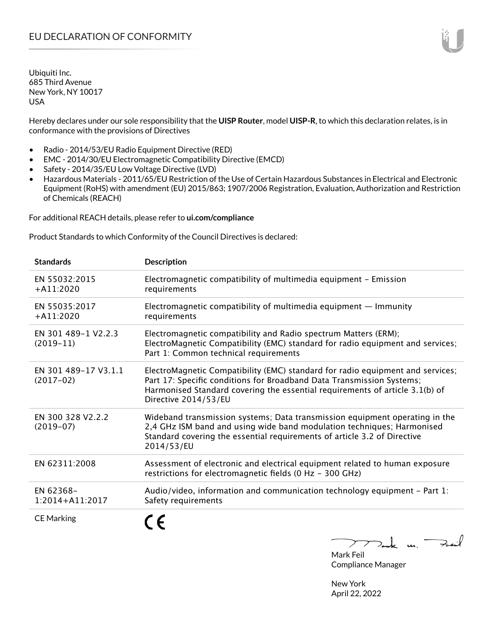Hereby declares under our sole responsibility that the **UISP Router**, model **UISP-R**, to which this declaration relates, is in conformance with the provisions of Directives

- Radio 2014/53/EU Radio Equipment Directive (RED)
- EMC 2014/30/EU Electromagnetic Compatibility Directive (EMCD)
- Safety 2014/35/EU Low Voltage Directive (LVD)
- Hazardous Materials 2011/65/EU Restriction of the Use of Certain Hazardous Substances in Electrical and Electronic Equipment (RoHS) with amendment (EU) 2015/863; 1907/2006 Registration, Evaluation, Authorization and Restriction of Chemicals (REACH)

For additional REACH details, please refer to **ui.com/compliance**

Product Standards to which Conformity of the Council Directives is declared:

| <b>Standards</b>                    | <b>Description</b>                                                                                                                                                                                                                                              |
|-------------------------------------|-----------------------------------------------------------------------------------------------------------------------------------------------------------------------------------------------------------------------------------------------------------------|
| EN 55032:2015<br>$+A11:2020$        | Electromagnetic compatibility of multimedia equipment - Emission<br>requirements                                                                                                                                                                                |
| EN 55035:2017<br>$+A11:2020$        | Electromagnetic compatibility of multimedia equipment $-$ Immunity<br>requirements                                                                                                                                                                              |
| EN 301 489-1 V2.2.3<br>$(2019-11)$  | Electromagnetic compatibility and Radio spectrum Matters (ERM);<br>ElectroMagnetic Compatibility (EMC) standard for radio equipment and services;<br>Part 1: Common technical requirements                                                                      |
| EN 301 489-17 V3.1.1<br>$(2017-02)$ | ElectroMagnetic Compatibility (EMC) standard for radio equipment and services;<br>Part 17: Specific conditions for Broadband Data Transmission Systems;<br>Harmonised Standard covering the essential requirements of article 3.1(b) of<br>Directive 2014/53/EU |
| EN 300 328 V2.2.2<br>$(2019 - 07)$  | Wideband transmission systems; Data transmission equipment operating in the<br>2,4 GHz ISM band and using wide band modulation techniques; Harmonised<br>Standard covering the essential requirements of article 3.2 of Directive<br>2014/53/EU                 |
| EN 62311:2008                       | Assessment of electronic and electrical equipment related to human exposure<br>restrictions for electromagnetic fields (0 Hz - 300 GHz)                                                                                                                         |
| EN 62368-<br>$1:2014 + A11:2017$    | Audio/video, information and communication technology equipment - Part 1:<br>Safety requirements                                                                                                                                                                |
| <b>CE Marking</b>                   |                                                                                                                                                                                                                                                                 |

 $m \rightarrow \infty$ 

Mark Feil Compliance Manager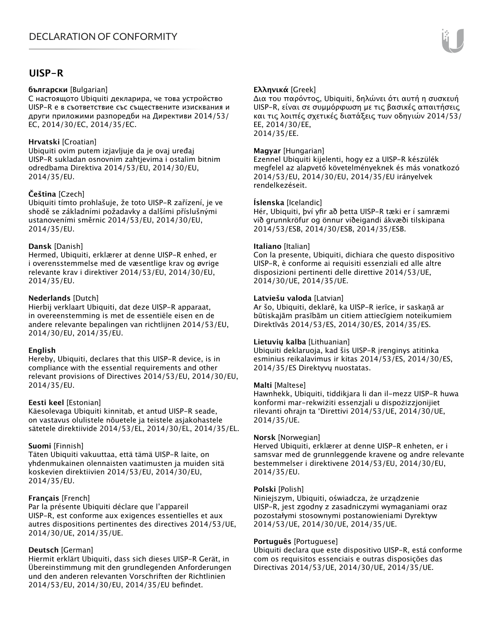# **UISP-R**

#### **български** [Bulgarian]

С настоящото Ubiquiti декларира, че това устройство UISP-R е в съответствие със съществените изисквания и други приложими разпоредби на Директиви 2014/53/ EC, 2014/30/ЕС, 2014/35/ЕС.

#### **Hrvatski** [Croatian]

Ubiquiti ovim putem izjavljuje da je ovaj uređaj UISP-R sukladan osnovnim zahtjevima i ostalim bitnim odredbama Direktiva 2014/53/EU, 2014/30/EU, 2014/35/EU.

## **Čeština** [Czech]

Ubiquiti tímto prohlašuje, že toto UISP-R zařízení, je ve shodě se základními požadavky a dalšími příslušnými ustanoveními směrnic 2014/53/EU, 2014/30/EU, 2014/35/EU.

#### **Dansk** [Danish]

Hermed, Ubiquiti, erklærer at denne UISP-R enhed, er i overensstemmelse med de væsentlige krav og øvrige relevante krav i direktiver 2014/53/EU, 2014/30/EU, 2014/35/EU.

## **Nederlands** [Dutch]

Hierbij verklaart Ubiquiti, dat deze UISP-R apparaat, in overeenstemming is met de essentiële eisen en de andere relevante bepalingen van richtlijnen 2014/53/EU, 2014/30/EU, 2014/35/EU.

#### **English**

Hereby, Ubiquiti, declares that this UISP-R device, is in compliance with the essential requirements and other relevant provisions of Directives 2014/53/EU, 2014/30/EU, 2014/35/EU.

#### **Eesti keel** [Estonian]

Käesolevaga Ubiquiti kinnitab, et antud UISP-R seade, on vastavus olulistele nõuetele ja teistele asjakohastele sätetele direktiivide 2014/53/EL, 2014/30/EL, 2014/35/EL.

## **Suomi** [Finnish]

Täten Ubiquiti vakuuttaa, että tämä UISP-R laite, on yhdenmukainen olennaisten vaatimusten ja muiden sitä koskevien direktiivien 2014/53/EU, 2014/30/EU, 2014/35/EU.

## **Français** [French]

Par la présente Ubiquiti déclare que l'appareil UISP-R, est conforme aux exigences essentielles et aux autres dispositions pertinentes des directives 2014/53/UE, 2014/30/UE, 2014/35/UE.

## **Deutsch** [German]

Hiermit erklärt Ubiquiti, dass sich dieses UISP-R Gerät, in Übereinstimmung mit den grundlegenden Anforderungen und den anderen relevanten Vorschriften der Richtlinien 2014/53/EU, 2014/30/EU, 2014/35/EU befindet.

## **Ελληνικά** [Greek]

Δια του παρόντος, Ubiquiti, δηλώνει ότι αυτή η συσκευή UISP-R, είναι σε συμμόρφωση με τις βασικές απαιτήσεις και τις λοιπές σχετικές διατάξεις των οδηγιών 2014/53/ EE, 2014/30/EE, 2014/35/EE.

#### **Magyar** [Hungarian]

Ezennel Ubiquiti kijelenti, hogy ez a UISP-R készülék megfelel az alapvető követelményeknek és más vonatkozó 2014/53/EU, 2014/30/EU, 2014/35/EU irányelvek rendelkezéseit.

#### **Íslenska** [Icelandic]

Hér, Ubiquiti, því yfir að þetta UISP-R tæki er í samræmi við grunnkröfur og önnur viðeigandi ákvæði tilskipana 2014/53/ESB, 2014/30/ESB, 2014/35/ESB.

#### **Italiano** [Italian]

Con la presente, Ubiquiti, dichiara che questo dispositivo UISP-R, è conforme ai requisiti essenziali ed alle altre disposizioni pertinenti delle direttive 2014/53/UE, 2014/30/UE, 2014/35/UE.

#### **Latviešu valoda** [Latvian]

Ar šo, Ubiquiti, deklarē, ka UISP-R ierīce, ir saskaņā ar būtiskajām prasībām un citiem attiecīgiem noteikumiem Direktīvās 2014/53/ES, 2014/30/ES, 2014/35/ES.

#### **Lietuvių kalba** [Lithuanian]

Ubiquiti deklaruoja, kad šis UISP-R įrenginys atitinka esminius reikalavimus ir kitas 2014/53/ES, 2014/30/ES, 2014/35/ES Direktyvų nuostatas.

#### **Malti** [Maltese]

Hawnhekk, Ubiquiti, tiddikjara li dan il-mezz UISP-R huwa konformi mar-rekwiżiti essenzjali u dispożizzjonijiet rilevanti oħrajn ta 'Direttivi 2014/53/UE, 2014/30/UE, 2014/35/UE.

#### **Norsk** [Norwegian]

Herved Ubiquiti, erklærer at denne UISP-R enheten, er i samsvar med de grunnleggende kravene og andre relevante bestemmelser i direktivene 2014/53/EU, 2014/30/EU, 2014/35/EU.

#### **Polski** [Polish]

Niniejszym, Ubiquiti, oświadcza, że urządzenie UISP-R, jest zgodny z zasadniczymi wymaganiami oraz pozostałymi stosownymi postanowieniami Dyrektyw 2014/53/UE, 2014/30/UE, 2014/35/UE.

#### **Português** [Portuguese]

Ubiquiti declara que este dispositivo UISP-R, está conforme com os requisitos essenciais e outras disposições das Directivas 2014/53/UE, 2014/30/UE, 2014/35/UE.

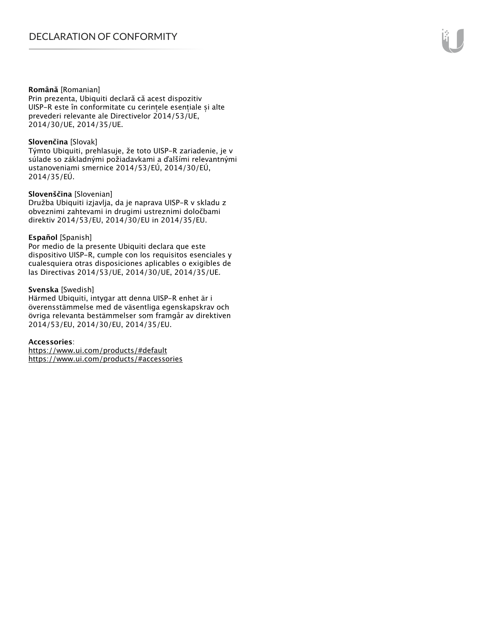#### **Română** [Romanian]

Prin prezenta, Ubiquiti declară că acest dispozitiv UISP-R este în conformitate cu cerințele esențiale și alte prevederi relevante ale Directivelor 2014/53/UE, 2014/30/UE, 2014/35/UE.

#### **Slovenčina** [Slovak]

Týmto Ubiquiti, prehlasuje, že toto UISP-R zariadenie, je v súlade so základnými požiadavkami a ďalšími relevantnými ustanoveniami smernice 2014/53/EÚ, 2014/30/EÚ, 2014/35/EÚ.

#### **Slovenščina** [Slovenian]

Družba Ubiquiti izjavlja, da je naprava UISP-R v skladu z obveznimi zahtevami in drugimi ustreznimi določbami direktiv 2014/53/EU, 2014/30/EU in 2014/35/EU.

#### **Español** [Spanish]

Por medio de la presente Ubiquiti declara que este dispositivo UISP-R, cumple con los requisitos esenciales y cualesquiera otras disposiciones aplicables o exigibles de las Directivas 2014/53/UE, 2014/30/UE, 2014/35/UE.

#### **Svenska** [Swedish]

Härmed Ubiquiti, intygar att denna UISP-R enhet är i överensstämmelse med de väsentliga egenskapskrav och övriga relevanta bestämmelser som framgår av direktiven 2014/53/EU, 2014/30/EU, 2014/35/EU.

#### **Accessories**:

https://www.ui.com/products/#default https://www.ui.com/products/#accessories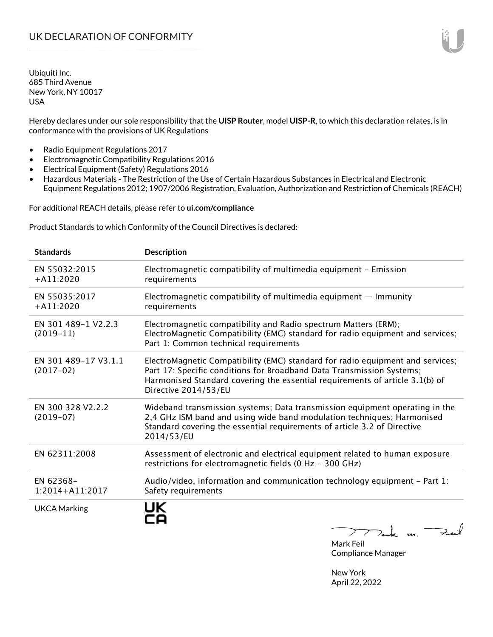Hereby declares under our sole responsibility that the **UISP Router**, model **UISP-R**, to which this declaration relates, is in conformance with the provisions of UK Regulations

- Radio Equipment Regulations 2017
- Electromagnetic Compatibility Regulations 2016
- Electrical Equipment (Safety) Regulations 2016
- Hazardous Materials The Restriction of the Use of Certain Hazardous Substances in Electrical and Electronic Equipment Regulations 2012; 1907/2006 Registration, Evaluation, Authorization and Restriction of Chemicals (REACH)

For additional REACH details, please refer to **ui.com/compliance**

Product Standards to which Conformity of the Council Directives is declared:

| <b>Standards</b>                    | <b>Description</b>                                                                                                                                                                                                                                              |
|-------------------------------------|-----------------------------------------------------------------------------------------------------------------------------------------------------------------------------------------------------------------------------------------------------------------|
| EN 55032:2015<br>$+A11:2020$        | Electromagnetic compatibility of multimedia equipment - Emission<br>requirements                                                                                                                                                                                |
| EN 55035:2017<br>$+A11:2020$        | Electromagnetic compatibility of multimedia equipment $-$ Immunity<br>requirements                                                                                                                                                                              |
| EN 301 489-1 V2.2.3<br>$(2019-11)$  | Electromagnetic compatibility and Radio spectrum Matters (ERM);<br>ElectroMagnetic Compatibility (EMC) standard for radio equipment and services;<br>Part 1: Common technical requirements                                                                      |
| EN 301 489-17 V3.1.1<br>$(2017-02)$ | ElectroMagnetic Compatibility (EMC) standard for radio equipment and services;<br>Part 17: Specific conditions for Broadband Data Transmission Systems;<br>Harmonised Standard covering the essential requirements of article 3.1(b) of<br>Directive 2014/53/EU |
| EN 300 328 V2.2.2<br>$(2019-07)$    | Wideband transmission systems; Data transmission equipment operating in the<br>2,4 GHz ISM band and using wide band modulation techniques; Harmonised<br>Standard covering the essential requirements of article 3.2 of Directive<br>2014/53/EU                 |
| EN 62311:2008                       | Assessment of electronic and electrical equipment related to human exposure<br>restrictions for electromagnetic fields (0 Hz - 300 GHz)                                                                                                                         |
| EN 62368-<br>1:2014+A11:2017        | Audio/video, information and communication technology equipment $-$ Part 1:<br>Safety requirements                                                                                                                                                              |
| <b>UKCA Marking</b>                 |                                                                                                                                                                                                                                                                 |

 $222$  dark us.  $\neq$  and

Mark Feil Compliance Manager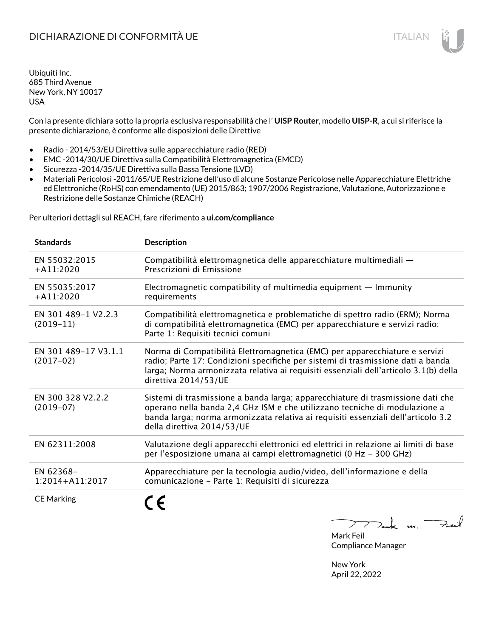Con la presente dichiara sotto la propria esclusiva responsabilità che l' **UISP Router**, modello **UISP-R**, a cui si riferisce la presente dichiarazione, è conforme alle disposizioni delle Direttive

- Radio 2014/53/EU Direttiva sulle apparecchiature radio (RED)
- EMC -2014/30/UE Direttiva sulla Compatibilità Elettromagnetica (EMCD)
- Sicurezza -2014/35/UE Direttiva sulla Bassa Tensione (LVD)
- Materiali Pericolosi -2011/65/UE Restrizione dell'uso di alcune Sostanze Pericolose nelle Apparecchiature Elettriche ed Elettroniche (RoHS) con emendamento (UE) 2015/863; 1907/2006 Registrazione, Valutazione, Autorizzazione e Restrizione delle Sostanze Chimiche (REACH)

Per ulteriori dettagli sul REACH, fare riferimento a **ui.com/compliance**

| <b>Standards</b>                    | <b>Description</b>                                                                                                                                                                                                                                                               |
|-------------------------------------|----------------------------------------------------------------------------------------------------------------------------------------------------------------------------------------------------------------------------------------------------------------------------------|
| EN 55032:2015<br>$+$ A11:2020       | Compatibilità elettromagnetica delle apparecchiature multimediali -<br>Prescrizioni di Emissione                                                                                                                                                                                 |
| EN 55035:2017<br>$+$ A11:2020       | Electromagnetic compatibility of multimedia equipment $-$ Immunity<br>requirements                                                                                                                                                                                               |
| EN 301 489-1 V2.2.3<br>$(2019-11)$  | Compatibilità elettromagnetica e problematiche di spettro radio (ERM); Norma<br>di compatibilità elettromagnetica (EMC) per apparecchiature e servizi radio;<br>Parte 1: Requisiti tecnici comuni                                                                                |
| EN 301 489-17 V3.1.1<br>$(2017-02)$ | Norma di Compatibilità Elettromagnetica (EMC) per apparecchiature e servizi<br>radio; Parte 17: Condizioni specifiche per sistemi di trasmissione dati a banda<br>larga; Norma armonizzata relativa ai requisiti essenziali dell'articolo 3.1(b) della<br>direttiva 2014/53/UE   |
| EN 300 328 V2.2.2<br>$(2019-07)$    | Sistemi di trasmissione a banda larga; apparecchiature di trasmissione dati che<br>operano nella banda 2,4 GHz ISM e che utilizzano tecniche di modulazione a<br>banda larga; norma armonizzata relativa ai requisiti essenziali dell'articolo 3.2<br>della direttiva 2014/53/UE |
| EN 62311:2008                       | Valutazione degli apparecchi elettronici ed elettrici in relazione ai limiti di base<br>per l'esposizione umana ai campi elettromagnetici (0 Hz - 300 GHz)                                                                                                                       |
| EN 62368-<br>$1:2014 + A11:2017$    | Apparecchiature per la tecnologia audio/video, dell'informazione e della<br>comunicazione - Parte 1: Requisiti di sicurezza                                                                                                                                                      |
| <b>CE Marking</b>                   |                                                                                                                                                                                                                                                                                  |

 $\downarrow$  m. Feil  $\mathcal{I}$ 

Mark Feil Compliance Manager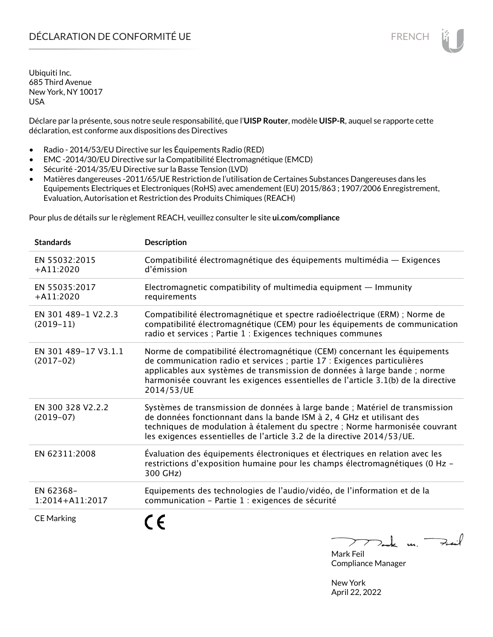Déclare par la présente, sous notre seule responsabilité, que l'**UISP Router**, modèle **UISP-R**, auquel se rapporte cette déclaration, est conforme aux dispositions des Directives

- Radio 2014/53/EU Directive sur les Équipements Radio (RED)
- EMC -2014/30/EU Directive sur la Compatibilité Electromagnétique (EMCD)
- Sécurité -2014/35/EU Directive sur la Basse Tension (LVD)
- Matières dangereuses -2011/65/UE Restriction de l'utilisation de Certaines Substances Dangereuses dans les Equipements Electriques et Electroniques (RoHS) avec amendement (EU) 2015/863 ; 1907/2006 Enregistrement, Evaluation, Autorisation et Restriction des Produits Chimiques (REACH)

Pour plus de détails sur le règlement REACH, veuillez consulter le site **ui.com/compliance**

| <b>Standards</b>                    | <b>Description</b>                                                                                                                                                                                                                                                                                                                     |
|-------------------------------------|----------------------------------------------------------------------------------------------------------------------------------------------------------------------------------------------------------------------------------------------------------------------------------------------------------------------------------------|
| EN 55032:2015<br>$+A11:2020$        | Compatibilité électromagnétique des équipements multimédia — Exigences<br>d'émission                                                                                                                                                                                                                                                   |
| EN 55035:2017<br>$+A11:2020$        | Electromagnetic compatibility of multimedia equipment $-$ Immunity<br>requirements                                                                                                                                                                                                                                                     |
| EN 301 489-1 V2.2.3<br>$(2019-11)$  | Compatibilité électromagnétique et spectre radioélectrique (ERM) ; Norme de<br>compatibilité électromagnétique (CEM) pour les équipements de communication<br>radio et services ; Partie 1 : Exigences techniques communes                                                                                                             |
| EN 301 489-17 V3.1.1<br>$(2017-02)$ | Norme de compatibilité électromagnétique (CEM) concernant les équipements<br>de communication radio et services ; partie 17 : Exigences particulières<br>applicables aux systèmes de transmission de données à large bande ; norme<br>harmonisée couvrant les exigences essentielles de l'article 3.1(b) de la directive<br>2014/53/UE |
| EN 300 328 V2.2.2<br>$(2019-07)$    | Systèmes de transmission de données à large bande ; Matériel de transmission<br>de données fonctionnant dans la bande ISM à 2, 4 GHz et utilisant des<br>techniques de modulation à étalement du spectre ; Norme harmonisée couvrant<br>les exigences essentielles de l'article 3.2 de la directive 2014/53/UE.                        |
| EN 62311:2008                       | Évaluation des équipements électroniques et électriques en relation avec les<br>restrictions d'exposition humaine pour les champs électromagnétiques (0 Hz -<br>300 GHz)                                                                                                                                                               |
| EN 62368-<br>1:2014+A11:2017        | Equipements des technologies de l'audio/vidéo, de l'information et de la<br>communication - Partie 1 : exigences de sécurité                                                                                                                                                                                                           |
| <b>CE Marking</b>                   | n<br>$\mathbf{A}$                                                                                                                                                                                                                                                                                                                      |

 $\sum$  $\nabla_{\bf k}$  u. Fait Mark Feil

Compliance Manager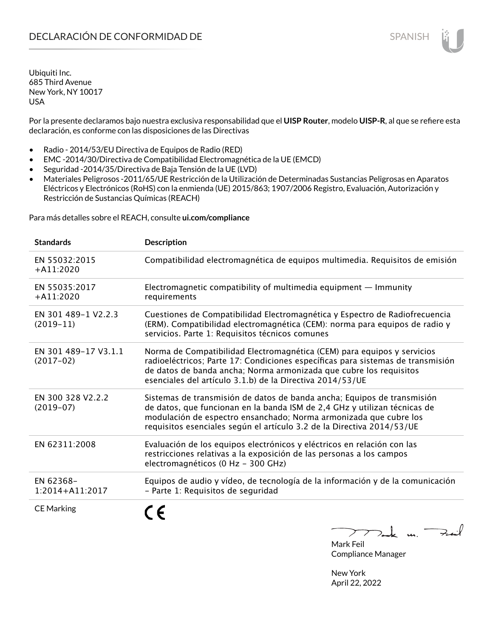Por la presente declaramos bajo nuestra exclusiva responsabilidad que el **UISP Router**, modelo **UISP-R**, al que se refiere esta declaración, es conforme con las disposiciones de las Directivas

- Radio 2014/53/EU Directiva de Equipos de Radio (RED)
- EMC -2014/30/Directiva de Compatibilidad Electromagnética de la UE (EMCD)
- Seguridad -2014/35/Directiva de Baja Tensión de la UE (LVD)
- Materiales Peligrosos -2011/65/UE Restricción de la Utilización de Determinadas Sustancias Peligrosas en Aparatos Eléctricos y Electrónicos (RoHS) con la enmienda (UE) 2015/863; 1907/2006 Registro, Evaluación, Autorización y Restricción de Sustancias Químicas (REACH)

Para más detalles sobre el REACH, consulte **ui.com/compliance**

| <b>Standards</b>                    | <b>Description</b>                                                                                                                                                                                                                                                                                  |
|-------------------------------------|-----------------------------------------------------------------------------------------------------------------------------------------------------------------------------------------------------------------------------------------------------------------------------------------------------|
| EN 55032:2015<br>$+A11:2020$        | Compatibilidad electromagnética de equipos multimedia. Requisitos de emisión                                                                                                                                                                                                                        |
| EN 55035:2017<br>$+A11:2020$        | Electromagnetic compatibility of multimedia equipment - Immunity<br>requirements                                                                                                                                                                                                                    |
| EN 301 489-1 V2.2.3<br>$(2019-11)$  | Cuestiones de Compatibilidad Electromagnética y Espectro de Radiofrecuencia<br>(ERM). Compatibilidad electromagnética (CEM): norma para equipos de radio y<br>servicios. Parte 1: Requisitos técnicos comunes                                                                                       |
| EN 301 489-17 V3.1.1<br>$(2017-02)$ | Norma de Compatibilidad Electromagnética (CEM) para equipos y servicios<br>radioeléctricos; Parte 17: Condiciones específicas para sistemas de transmisión<br>de datos de banda ancha; Norma armonizada que cubre los requisitos<br>esenciales del artículo 3.1.b) de la Directiva 2014/53/UE       |
| EN 300 328 V2.2.2<br>$(2019-07)$    | Sistemas de transmisión de datos de banda ancha; Equipos de transmisión<br>de datos, que funcionan en la banda ISM de 2,4 GHz y utilizan técnicas de<br>modulación de espectro ensanchado; Norma armonizada que cubre los<br>requisitos esenciales según el artículo 3.2 de la Directiva 2014/53/UE |
| EN 62311:2008                       | Evaluación de los equipos electrónicos y eléctricos en relación con las<br>restricciones relativas a la exposición de las personas a los campos<br>electromagnéticos (0 Hz - 300 GHz)                                                                                                               |
| EN 62368-<br>1:2014+A11:2017        | Equipos de audio y vídeo, de tecnología de la información y de la comunicación<br>- Parte 1: Requisitos de seguridad                                                                                                                                                                                |
| <b>CE Marking</b>                   |                                                                                                                                                                                                                                                                                                     |

Tak m. Fail  $\sum$ 

Mark Feil Compliance Manager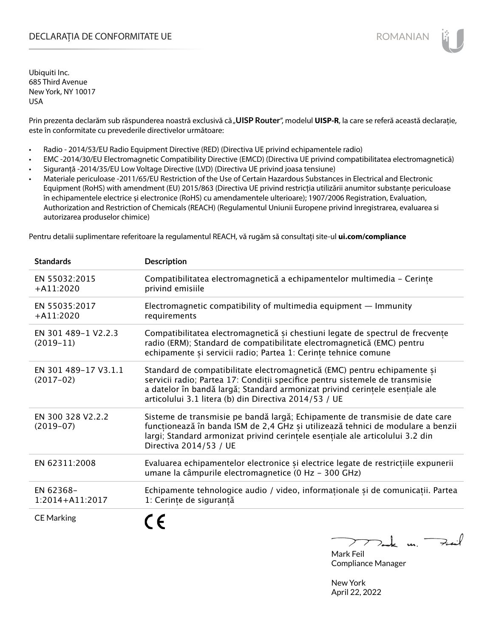# DECLARAȚIA DE CONFORMITATE UE EXECUTE DE ROMANIAN

Ubiquiti Inc. 685 Third Avenue New York, NY 10017 USA

Prin prezenta declarăm sub răspunderea noastră exclusivă că "UISP Router", modelul UISP-R, la care se referă această declarație, este în conformitate cu prevederile directivelor următoare:

- Radio 2014/53/EU Radio Equipment Directive (RED) (Directiva UE privind echipamentele radio)
- EMC -2014/30/EU Electromagnetic Compatibility Directive (EMCD) (Directiva UE privind compatibilitatea electromagnetică)
- Siguranță -2014/35/EU Low Voltage Directive (LVD) (Directiva UE privind joasa tensiune)
- Materiale periculoase -2011/65/EU Restriction of the Use of Certain Hazardous Substances in Electrical and Electronic Equipment (RoHS) with amendment (EU) 2015/863 (Directiva UE privind restricția utilizării anumitor substanțe periculoase în echipamentele electrice și electronice (RoHS) cu amendamentele ulterioare); 1907/2006 Registration, Evaluation, Authorization and Restriction of Chemicals (REACH) (Regulamentul Uniunii Europene privind înregistrarea, evaluarea si autorizarea produselor chimice)

Pentru detalii suplimentare referitoare la regulamentul REACH, vă rugăm să consultați site-ul **ui.com/compliance**

| <b>Standards</b>                    | <b>Description</b>                                                                                                                                                                                                                                                                                |
|-------------------------------------|---------------------------------------------------------------------------------------------------------------------------------------------------------------------------------------------------------------------------------------------------------------------------------------------------|
| EN 55032:2015<br>$+$ A11:2020       | Compatibilitatea electromagnetică a echipamentelor multimedia - Cerințe<br>privind emisiile                                                                                                                                                                                                       |
| EN 55035:2017<br>$+A11:2020$        | Electromagnetic compatibility of multimedia equipment $-$ Immunity<br>requirements                                                                                                                                                                                                                |
| EN 301 489-1 V2.2.3<br>$(2019-11)$  | Compatibilitatea electromagnetică și chestiuni legate de spectrul de frecvențe<br>radio (ERM); Standard de compatibilitate electromagnetică (EMC) pentru<br>echipamente și servicii radio; Partea 1: Cerințe tehnice comune                                                                       |
| EN 301 489-17 V3.1.1<br>$(2017-02)$ | Standard de compatibilitate electromagnetică (EMC) pentru echipamente și<br>servicii radio; Partea 17: Condiții specifice pentru sistemele de transmisie<br>a datelor în bandă largă; Standard armonizat privind cerințele esențiale ale<br>articolului 3.1 litera (b) din Directiva 2014/53 / UE |
| EN 300 328 V2.2.2<br>$(2019-07)$    | Sisteme de transmisie pe bandă largă; Echipamente de transmisie de date care<br>funcționează în banda ISM de 2,4 GHz și utilizează tehnici de modulare a benzii<br>largi; Standard armonizat privind cerințele esențiale ale articolului 3.2 din<br>Directiva 2014/53 / UE                        |
| EN 62311:2008                       | Evaluarea echipamentelor electronice și electrice legate de restricțiile expunerii<br>umane la câmpurile electromagnetice (0 Hz - 300 GHz)                                                                                                                                                        |
| EN 62368-<br>1:2014+A11:2017        | Echipamente tehnologice audio / video, informaționale și de comunicații. Partea<br>1: Cerințe de siguranță                                                                                                                                                                                        |
| <b>CE Marking</b>                   |                                                                                                                                                                                                                                                                                                   |

 $k$  un  $\rightarrow$ Mark Feil

Compliance Manager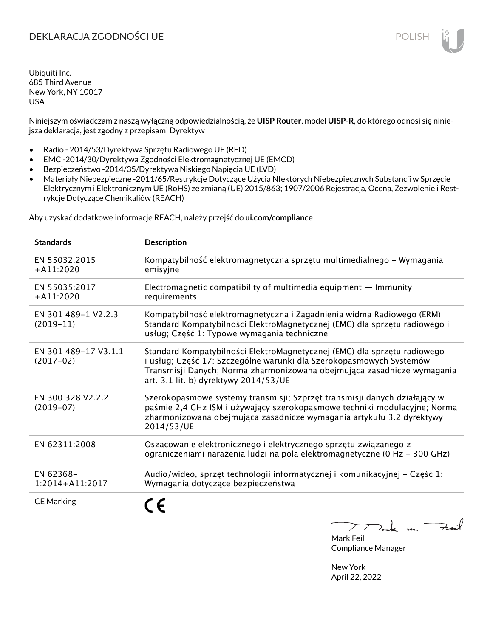# DEKLARACJA ZGODNOŚCI UE POLISH POLISH

Ubiquiti Inc. 685 Third Avenue New York, NY 10017 USA

Niniejszym oświadczam z naszą wyłączną odpowiedzialnością, że **UISP Router**, model **UISP-R**, do którego odnosi się niniejsza deklaracja, jest zgodny z przepisami Dyrektyw

- Radio 2014/53/Dyrektywa Sprzętu Radiowego UE (RED)
- EMC -2014/30/Dyrektywa Zgodności Elektromagnetycznej UE (EMCD)
- Bezpieczeństwo -2014/35/Dyrektywa Niskiego Napięcia UE (LVD)
- Materiały Niebezpieczne -2011/65/Restrykcje Dotyczące Użycia NIektórych Niebezpiecznych Substancji w Sprzęcie Elektrycznym i Elektronicznym UE (RoHS) ze zmianą (UE) 2015/863; 1907/2006 Rejestracja, Ocena, Zezwolenie i Restrykcje Dotyczące Chemikaliów (REACH)

Aby uzyskać dodatkowe informacje REACH, należy przejść do **ui.com/compliance**

| <b>Standards</b>                    | <b>Description</b>                                                                                                                                                                                                                                                  |
|-------------------------------------|---------------------------------------------------------------------------------------------------------------------------------------------------------------------------------------------------------------------------------------------------------------------|
| EN 55032:2015<br>$+$ A11:2020       | Kompatybilność elektromagnetyczna sprzętu multimedialnego – Wymagania<br>emisyjne                                                                                                                                                                                   |
| EN 55035:2017<br>$+A11:2020$        | Electromagnetic compatibility of multimedia equipment $-$ Immunity<br>requirements                                                                                                                                                                                  |
| EN 301 489-1 V2.2.3<br>$(2019-11)$  | Kompatybilność elektromagnetyczna i Zagadnienia widma Radiowego (ERM);<br>Standard Kompatybilności ElektroMagnetycznej (EMC) dla sprzętu radiowego i<br>usług; Część 1: Typowe wymagania techniczne                                                                 |
| EN 301 489-17 V3.1.1<br>$(2017-02)$ | Standard Kompatybilności ElektroMagnetycznej (EMC) dla sprzętu radiowego<br>i usług; Część 17: Szczególne warunki dla Szerokopasmowych Systemów<br>Transmisji Danych; Norma zharmonizowana obejmująca zasadnicze wymagania<br>art. 3.1 lit. b) dyrektywy 2014/53/UE |
| EN 300 328 V2.2.2<br>$(2019-07)$    | Szerokopasmowe systemy transmisji; Szprzęt transmisji danych działający w<br>paśmie 2,4 GHz ISM i używający szerokopasmowe techniki modulacyjne; Norma<br>zharmonizowana obejmująca zasadnicze wymagania artykułu 3.2 dyrektywy<br>2014/53/UE                       |
| EN 62311:2008                       | Oszacowanie elektronicznego i elektrycznego sprzętu związanego z<br>ograniczeniami narażenia ludzi na pola elektromagnetyczne (0 Hz - 300 GHz)                                                                                                                      |
| EN 62368-<br>$1:2014 + A11:2017$    | Audio/wideo, sprzęt technologii informatycznej i komunikacyjnej – Część 1:<br>Wymagania dotyczące bezpieczeństwa                                                                                                                                                    |
| <b>CE Marking</b>                   |                                                                                                                                                                                                                                                                     |

لأمدح  $\mathbf{u}$ 

Mark Feil Compliance Manager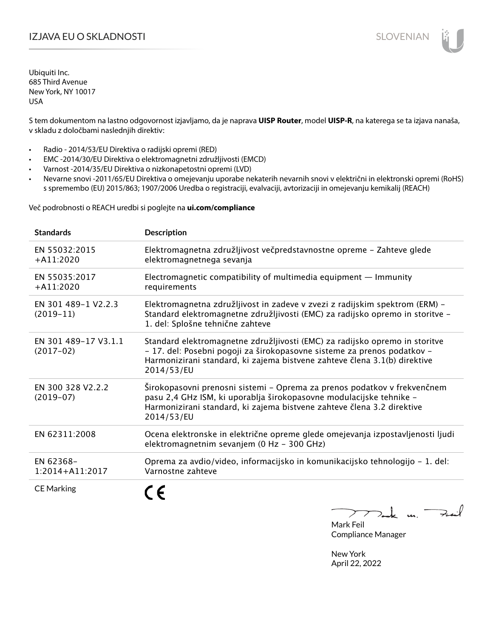# I**ZJAVA EU O SKLADNOSTI** SLOVENIAN

Ubiquiti Inc. 685 Third Avenue New York, NY 10017 USA

S tem dokumentom na lastno odgovornost izjavljamo, da je naprava **UISP Router**, model **UISP-R**, na katerega se ta izjava nanaša, v skladu z določbami naslednjih direktiv:

- Radio 2014/53/EU Direktiva o radijski opremi (RED)
- EMC -2014/30/EU Direktiva o elektromagnetni združljivosti (EMCD)
- Varnost -2014/35/EU Direktiva o nizkonapetostni opremi (LVD)
- Nevarne snovi -2011/65/EU Direktiva o omejevanju uporabe nekaterih nevarnih snovi v električni in elektronski opremi (RoHS) s spremembo (EU) 2015/863; 1907/2006 Uredba o registraciji, evalvaciji, avtorizaciji in omejevanju kemikalij (REACH)

Več podrobnosti o REACH uredbi si poglejte na **ui.com/compliance**

| <b>Standards</b>                    | <b>Description</b>                                                                                                                                                                                                                                |
|-------------------------------------|---------------------------------------------------------------------------------------------------------------------------------------------------------------------------------------------------------------------------------------------------|
| EN 55032:2015<br>$+A11:2020$        | Elektromagnetna združljivost večpredstavnostne opreme - Zahteve glede<br>elektromagnetnega sevanja                                                                                                                                                |
| EN 55035:2017<br>$+A11:2020$        | Electromagnetic compatibility of multimedia equipment $-$ Immunity<br>requirements                                                                                                                                                                |
| EN 301 489-1 V2.2.3<br>$(2019-11)$  | Elektromagnetna združljivost in zadeve v zvezi z radijskim spektrom (ERM) -<br>Standard elektromagnetne združljivosti (EMC) za radijsko opremo in storitve -<br>1. del: Splošne tehnične zahteve                                                  |
| EN 301 489-17 V3.1.1<br>$(2017-02)$ | Standard elektromagnetne združljivosti (EMC) za radijsko opremo in storitve<br>- 17. del: Posebni pogoji za širokopasovne sisteme za prenos podatkov -<br>Harmonizirani standard, ki zajema bistvene zahteve člena 3.1(b) direktive<br>2014/53/EU |
| EN 300 328 V2.2.2<br>$(2019-07)$    | Širokopasovni prenosni sistemi – Oprema za prenos podatkov v frekvenčnem<br>pasu 2,4 GHz ISM, ki uporablja širokopasovne modulacijske tehnike -<br>Harmonizirani standard, ki zajema bistvene zahteve člena 3.2 direktive<br>2014/53/EU           |
| EN 62311:2008                       | Ocena elektronske in električne opreme glede omejevanja izpostavljenosti ljudi<br>elektromagnetnim sevanjem (0 Hz - 300 GHz)                                                                                                                      |
| EN 62368-<br>$1:2014 + A11:2017$    | Oprema za avdio/video, informacijsko in komunikacijsko tehnologijo – 1. del:<br>Varnostne zahteve                                                                                                                                                 |
| <b>CE Marking</b>                   |                                                                                                                                                                                                                                                   |

m. Fail

Mark Feil Compliance Manager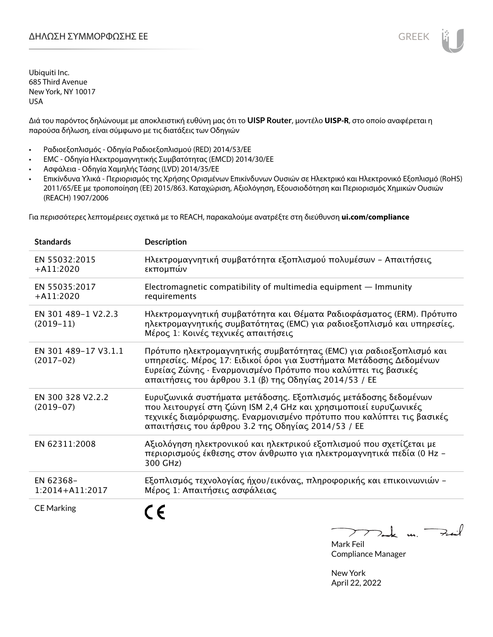Διά του παρόντος δηλώνουμε με αποκλειστική ευθύνη μας ότι το **UISP Router**, μοντέλο **UISP-R**, στο οποίο αναφέρεται η παρούσα δήλωση, είναι σύμφωνο με τις διατάξεις των Οδηγιών

- Ραδιοεξοπλισμός Οδηγία Ραδιοεξοπλισμού (RED) 2014/53/ΕΕ
- EMC Οδηγία Ηλεκτρομαγνητικής Συμβατότητας (EMCD) 2014/30/ΕΕ
- Ασφάλεια Οδηγία Χαμηλής Τάσης (LVD) 2014/35/ΕΕ
- Επικίνδυνα Υλικά Περιορισμός της Χρήσης Ορισμένων Επικίνδυνων Ουσιών σε Ηλεκτρικό και Ηλεκτρονικό Εξοπλισμό (RoHS) 2011/65/ΕΕ με τροποποίηση (ΕΕ) 2015/863. Καταχώριση, Αξιολόγηση, Εξουσιοδότηση και Περιορισμός Χημικών Ουσιών (REACH) 1907/2006

Για περισσότερες λεπτομέρειες σχετικά με το REACH, παρακαλούμε ανατρέξτε στη διεύθυνση **ui.com/compliance**

| <b>Standards</b>                    | <b>Description</b>                                                                                                                                                                                                                                                     |
|-------------------------------------|------------------------------------------------------------------------------------------------------------------------------------------------------------------------------------------------------------------------------------------------------------------------|
| EN 55032:2015<br>$+A11:2020$        | Ηλεκτρομαγνητική συμβατότητα εξοπλισμού πολυμέσων - Απαιτήσεις<br>εκπομπών                                                                                                                                                                                             |
| EN 55035:2017<br>$+A11:2020$        | Electromagnetic compatibility of multimedia equipment $-$ Immunity<br>requirements                                                                                                                                                                                     |
| EN 301 489-1 V2.2.3<br>$(2019-11)$  | Ηλεκτρομαγνητική συμβατότητα και Θέματα Ραδιοφάσματος (ERM). Πρότυπο<br>ηλεκτρομαγνητικής συμβατότητας (EMC) για ραδιοεξοπλισμό και υπηρεσίες.<br>Μέρος 1: Κοινές τεχνικές απαιτήσεις                                                                                  |
| EN 301 489-17 V3.1.1<br>$(2017-02)$ | Πρότυπο ηλεκτρομαγνητικής συμβατότητας (ΕΜC) για ραδιοεξοπλισμό και<br>υπηρεσίες. Μέρος 17: Ειδικοί όροι για Συστήματα Μετάδοσης Δεδομένων<br>Ευρείας Ζώνης · Εναρμονισμένο Πρότυπο που καλύπτει τις βασικές<br>απαιτήσεις του άρθρου 3.1 (β) της Οδηγίας 2014/53 / ΕΕ |
| EN 300 328 V2.2.2<br>$(2019-07)$    | Ευρυζωνικά συστήματα μετάδοσης. Εξοπλισμός μετάδοσης δεδομένων<br>που λειτουργεί στη ζώνη ISM 2,4 GHz και χρησιμοποιεί ευρυζωνικές<br>τεχνικές διαμόρφωσης. Εναρμονισμένο πρότυπο που καλύπτει τις βασικές<br>απαιτήσεις του άρθρου 3.2 της Οδηγίας 2014/53 / ΕΕ       |
| EN 62311:2008                       | Αξιολόγηση ηλεκτρονικού και ηλεκτρικού εξοπλισμού που σχετίζεται με<br>περιορισμούς έκθεσης στον άνθρωπο για ηλεκτρομαγνητικά πεδία (0 Hz -<br>300 GHz)                                                                                                                |
| EN 62368-<br>$1:2014+A11:2017$      | Εξοπλισμός τεχνολογίας ήχου/εικόνας, πληροφορικής και επικοινωνιών -<br>Μέρος 1: Απαιτήσεις ασφάλειας                                                                                                                                                                  |
| <b>CE Marking</b>                   |                                                                                                                                                                                                                                                                        |

Tak un Fail  $\mathcal{F}$  $\overline{\phantom{a}}$ 

Mark Feil Compliance Manager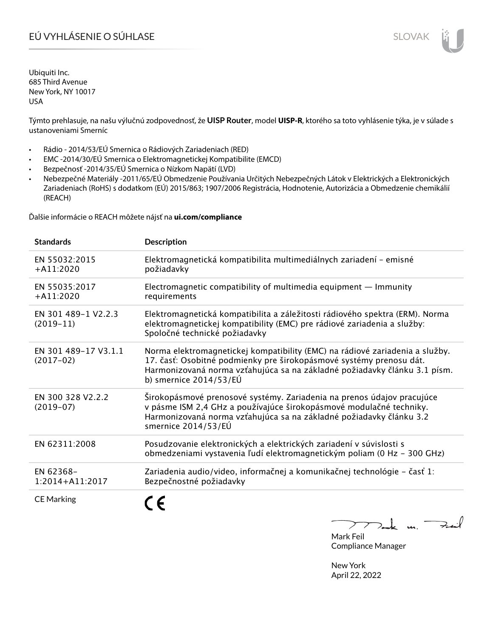# EÚ VYHLÁSENIE O SÚHLASE SLOVAK SLOVAK

Ubiquiti Inc. 685 Third Avenue New York, NY 10017 USA

Týmto prehlasuje, na našu výlučnú zodpovednosť, že **UISP Router**, model **UISP-R**, ktorého sa toto vyhlásenie týka, je v súlade s ustanoveniami Smerníc

- Rádio 2014/53/EÚ Smernica o Rádiových Zariadeniach (RED)
- EMC -2014/30/EÚ Smernica o Elektromagnetickej Kompatibilite (EMCD)
- Bezpečnosť -2014/35/EÚ Smernica o Nízkom Napätí (LVD)
- Nebezpečné Materiály -2011/65/EÚ Obmedzenie Používania Určitých Nebezpečných Látok v Elektrických a Elektronických Zariadeniach (RoHS) s dodatkom (EÚ) 2015/863; 1907/2006 Registrácia, Hodnotenie, Autorizácia a Obmedzenie chemikálií (REACH)

Ďalšie informácie o REACH môžete nájsť na **ui.com/compliance**

| <b>Standards</b>                    | <b>Description</b>                                                                                                                                                                                                                                           |
|-------------------------------------|--------------------------------------------------------------------------------------------------------------------------------------------------------------------------------------------------------------------------------------------------------------|
| EN 55032:2015<br>$+A11:2020$        | Elektromagnetická kompatibilita multimediálnych zariadení - emisné<br>požiadavky                                                                                                                                                                             |
| EN 55035:2017<br>$+A11:2020$        | Electromagnetic compatibility of multimedia equipment $-$ Immunity<br>requirements                                                                                                                                                                           |
| EN 301 489-1 V2.2.3<br>$(2019-11)$  | Elektromagnetická kompatibilita a záležitosti rádiového spektra (ERM). Norma<br>elektromagnetickej kompatibility (EMC) pre rádiové zariadenia a služby:<br>Spoločné technické požiadavky                                                                     |
| EN 301 489-17 V3.1.1<br>$(2017-02)$ | Norma elektromagnetickej kompatibility (EMC) na rádiové zariadenia a služby.<br>17. časť: Osobitné podmienky pre širokopásmové systémy prenosu dát.<br>Harmonizovaná norma vzťahujúca sa na základné požiadavky článku 3.1 písm.<br>b) smernice $2014/53/EU$ |
| EN 300 328 V2.2.2<br>$(2019-07)$    | Širokopásmové prenosové systémy. Zariadenia na prenos údajov pracujúce<br>v pásme ISM 2,4 GHz a používajúce širokopásmové modulačné techniky.<br>Harmonizovaná norma vzťahujúca sa na základné požiadavky článku 3.2<br>smernice 2014/53/EÚ                  |
| EN 62311:2008                       | Posudzovanie elektronických a elektrických zariadení v súvislosti s<br>obmedzeniami vystavenia ľudí elektromagnetickým poliam (0 Hz - 300 GHz)                                                                                                               |
| EN 62368-<br>$1:2014 + A11:2017$    | Zariadenia audio/video, informačnej a komunikačnej technológie - časť 1:<br>Bezpečnostné požiadavky                                                                                                                                                          |
| <b>CE Marking</b>                   |                                                                                                                                                                                                                                                              |

 $k$  un  $\rightarrow$  $\sum$ 

Mark Feil Compliance Manager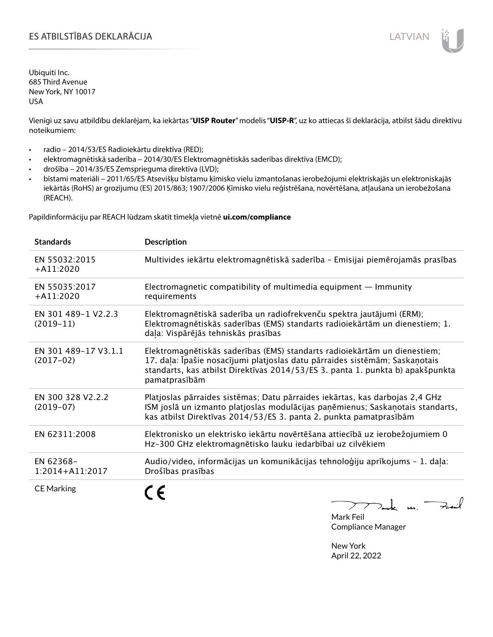Vienīgi uz savu atbildību deklarējam, ka iekārtas "**UISP Router**" modelis "**UISP-R**", uz ko attiecas šī deklarācija, atbilst šādu direktīvu noteikumiem:

- radio 2014/53/ES Radioiekārtu direktīva (RED);
- elektromagnētiskā saderība 2014/30/ES Elektromagnētiskās saderības direktīva (EMCD);
- drošība 2014/35/ES Zemsprieguma direktīva (LVD);
- bīstami materiāli 2011/65/ES Atsevišķu bīstamu ķīmisko vielu izmantošanas ierobežojumi elektriskajās un elektroniskajās iekārtās (RoHS) ar grozījumu (ES) 2015/863; 1907/2006 Ķīmisko vielu reģistrēšana, novērtēšana, atļaušana un ierobežošana (REACH).

Papildinformāciju par REACH lūdzam skatīt tīmekļa vietnē **ui.com/compliance**

| <b>Standards</b>                    | <b>Description</b>                                                                                                                                                                                                                                          |
|-------------------------------------|-------------------------------------------------------------------------------------------------------------------------------------------------------------------------------------------------------------------------------------------------------------|
| EN 55032:2015<br>$+A11:2020$        | Multivides iekārtu elektromagnētiskā saderība - Emisijai piemērojamās prasības                                                                                                                                                                              |
| EN 55035:2017<br>$+A11:2020$        | Electromagnetic compatibility of multimedia equipment $-$ Immunity<br>requirements                                                                                                                                                                          |
| EN 301 489-1 V2.2.3<br>$(2019-11)$  | Elektromagnētiskā saderība un radiofrekvenču spektra jautājumi (ERM);<br>Elektromagnētiskās saderības (EMS) standarts radioiekārtām un dienestiem; 1.<br>daļa: Vispārējās tehniskās prasības                                                                |
| EN 301 489-17 V3.1.1<br>$(2017-02)$ | Elektromagnētiskās saderības (EMS) standarts radioiekārtām un dienestiem;<br>17. daļa: Īpašie nosacījumi platjoslas datu pārraides sistēmām; Saskaņotais<br>standarts, kas atbilst Direktīvas 2014/53/ES 3. panta 1. punkta b) apakšpunkta<br>pamatprasībām |
| EN 300 328 V2.2.2<br>$(2019-07)$    | Platjoslas pārraides sistēmas; Datu pārraides iekārtas, kas darbojas 2,4 GHz<br>ISM joslā un izmanto platjoslas modulācijas paņēmienus; Saskaņotais standarts,<br>kas atbilst Direktīvas 2014/53/ES 3. panta 2. punkta pamatprasībām                        |
| EN 62311:2008                       | Elektronisko un elektrisko iekārtu novērtēšana attiecībā uz ierobežojumiem 0<br>Hz-300 GHz elektromagnētisko lauku iedarbībai uz cilvēkiem                                                                                                                  |
| EN 62368-<br>1:2014+A11:2017        | Audio/video, informācijas un komunikācijas tehnoloģiju aprīkojums - 1. daļa:<br>Drošības prasības                                                                                                                                                           |
| <b>CE Marking</b>                   | n                                                                                                                                                                                                                                                           |

 $772$  de un Fail

Mark Feil Compliance Manager